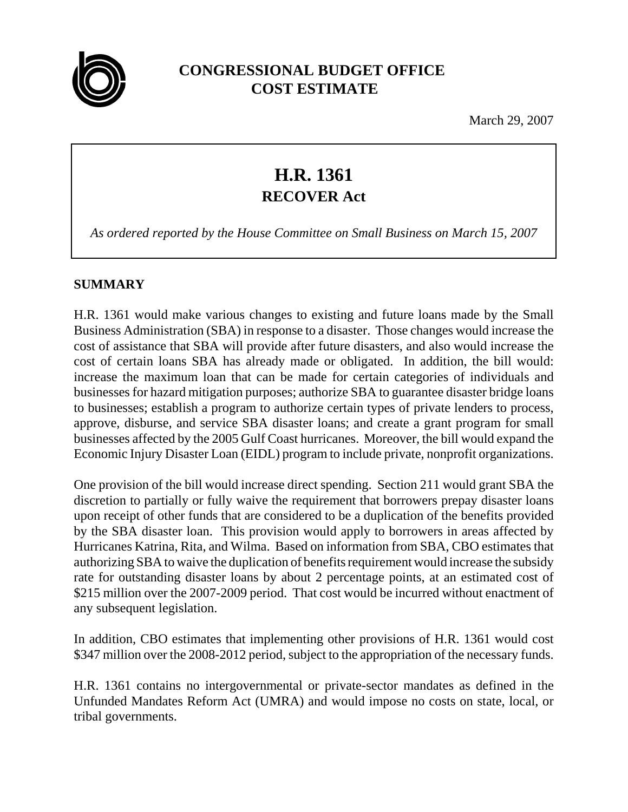

## **CONGRESSIONAL BUDGET OFFICE COST ESTIMATE**

March 29, 2007

# **H.R. 1361 RECOVER Act**

*As ordered reported by the House Committee on Small Business on March 15, 2007*

### **SUMMARY**

H.R. 1361 would make various changes to existing and future loans made by the Small Business Administration (SBA) in response to a disaster. Those changes would increase the cost of assistance that SBA will provide after future disasters, and also would increase the cost of certain loans SBA has already made or obligated. In addition, the bill would: increase the maximum loan that can be made for certain categories of individuals and businesses for hazard mitigation purposes; authorize SBA to guarantee disaster bridge loans to businesses; establish a program to authorize certain types of private lenders to process, approve, disburse, and service SBA disaster loans; and create a grant program for small businesses affected by the 2005 Gulf Coast hurricanes. Moreover, the bill would expand the Economic Injury Disaster Loan (EIDL) program to include private, nonprofit organizations.

One provision of the bill would increase direct spending. Section 211 would grant SBA the discretion to partially or fully waive the requirement that borrowers prepay disaster loans upon receipt of other funds that are considered to be a duplication of the benefits provided by the SBA disaster loan. This provision would apply to borrowers in areas affected by Hurricanes Katrina, Rita, and Wilma. Based on information from SBA, CBO estimates that authorizing SBA to waive the duplication of benefits requirement would increase the subsidy rate for outstanding disaster loans by about 2 percentage points, at an estimated cost of \$215 million over the 2007-2009 period. That cost would be incurred without enactment of any subsequent legislation.

In addition, CBO estimates that implementing other provisions of H.R. 1361 would cost \$347 million over the 2008-2012 period, subject to the appropriation of the necessary funds.

H.R. 1361 contains no intergovernmental or private-sector mandates as defined in the Unfunded Mandates Reform Act (UMRA) and would impose no costs on state, local, or tribal governments.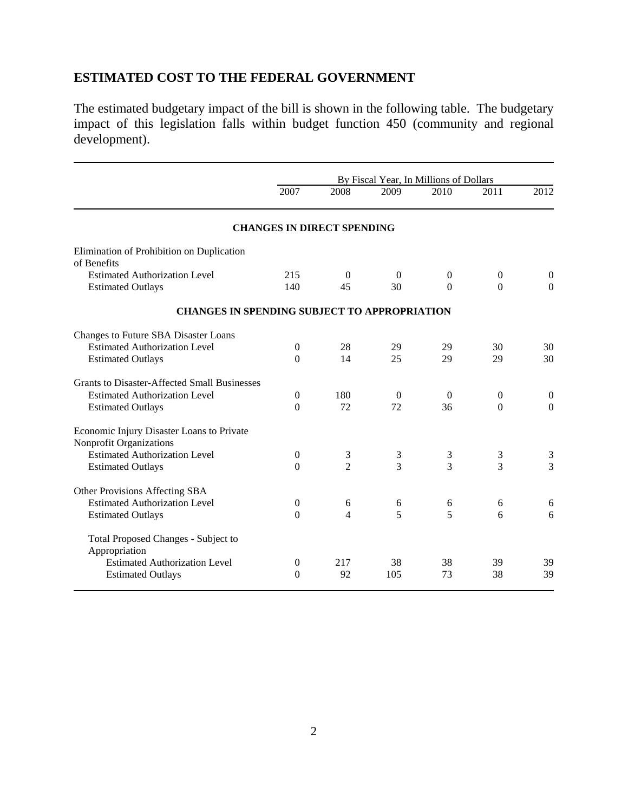## **ESTIMATED COST TO THE FEDERAL GOVERNMENT**

The estimated budgetary impact of the bill is shown in the following table. The budgetary impact of this legislation falls within budget function 450 (community and regional development).

|                                                                      | By Fiscal Year, In Millions of Dollars |                                   |                |                |                |                  |
|----------------------------------------------------------------------|----------------------------------------|-----------------------------------|----------------|----------------|----------------|------------------|
|                                                                      | 2007                                   | 2008                              | 2009           | 2010           | 2011           | 2012             |
|                                                                      |                                        | <b>CHANGES IN DIRECT SPENDING</b> |                |                |                |                  |
| Elimination of Prohibition on Duplication<br>of Benefits             |                                        |                                   |                |                |                |                  |
| <b>Estimated Authorization Level</b>                                 | 215                                    | $\Omega$                          | $\theta$       | $\overline{0}$ | $\mathbf{0}$   | $\overline{0}$   |
| <b>Estimated Outlays</b>                                             | 140                                    | 45                                | 30             | $\mathbf{0}$   | $\Omega$       | $\theta$         |
| <b>CHANGES IN SPENDING SUBJECT TO APPROPRIATION</b>                  |                                        |                                   |                |                |                |                  |
| Changes to Future SBA Disaster Loans                                 |                                        |                                   |                |                |                |                  |
| <b>Estimated Authorization Level</b>                                 | $\theta$                               | 28                                | 29             | 29             | 30             | 30               |
| <b>Estimated Outlays</b>                                             | $\Omega$                               | 14                                | 25             | 29             | 29             | 30               |
| <b>Grants to Disaster-Affected Small Businesses</b>                  |                                        |                                   |                |                |                |                  |
| <b>Estimated Authorization Level</b>                                 | $\boldsymbol{0}$                       | 180                               | $\overline{0}$ | $\overline{0}$ | $\overline{0}$ | $\boldsymbol{0}$ |
| <b>Estimated Outlays</b>                                             | $\Omega$                               | 72                                | 72             | 36             | $\Omega$       | $\overline{0}$   |
| Economic Injury Disaster Loans to Private<br>Nonprofit Organizations |                                        |                                   |                |                |                |                  |
| <b>Estimated Authorization Level</b>                                 | $\overline{0}$                         | 3                                 | 3              | 3              | 3              | 3                |
| <b>Estimated Outlays</b>                                             | $\Omega$                               | $\overline{2}$                    | 3              | 3              | 3              | $\overline{3}$   |
| Other Provisions Affecting SBA                                       |                                        |                                   |                |                |                |                  |
| <b>Estimated Authorization Level</b>                                 | $\boldsymbol{0}$                       | 6                                 | 6              | 6              | 6              | 6                |
| <b>Estimated Outlays</b>                                             | $\overline{0}$                         | 4                                 | 5              | 5              | 6              | 6                |
| Total Proposed Changes - Subject to<br>Appropriation                 |                                        |                                   |                |                |                |                  |
| <b>Estimated Authorization Level</b>                                 | $\theta$                               | 217                               | 38             | 38             | 39             | 39               |
| <b>Estimated Outlays</b>                                             | $\theta$                               | 92                                | 105            | 73             | 38             | 39               |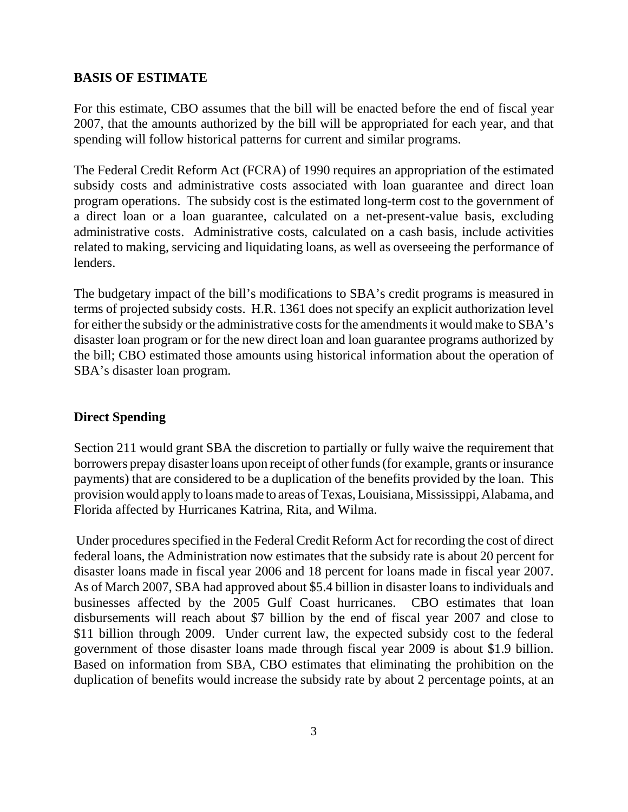#### **BASIS OF ESTIMATE**

For this estimate, CBO assumes that the bill will be enacted before the end of fiscal year 2007, that the amounts authorized by the bill will be appropriated for each year, and that spending will follow historical patterns for current and similar programs.

The Federal Credit Reform Act (FCRA) of 1990 requires an appropriation of the estimated subsidy costs and administrative costs associated with loan guarantee and direct loan program operations. The subsidy cost is the estimated long-term cost to the government of a direct loan or a loan guarantee, calculated on a net-present-value basis, excluding administrative costs. Administrative costs, calculated on a cash basis, include activities related to making, servicing and liquidating loans, as well as overseeing the performance of lenders.

The budgetary impact of the bill's modifications to SBA's credit programs is measured in terms of projected subsidy costs. H.R. 1361 does not specify an explicit authorization level for either the subsidy or the administrative costs for the amendments it would make to SBA's disaster loan program or for the new direct loan and loan guarantee programs authorized by the bill; CBO estimated those amounts using historical information about the operation of SBA's disaster loan program.

#### **Direct Spending**

Section 211 would grant SBA the discretion to partially or fully waive the requirement that borrowers prepay disaster loans upon receipt of other funds (for example, grants or insurance payments) that are considered to be a duplication of the benefits provided by the loan. This provision would apply to loans made to areas of Texas, Louisiana, Mississippi, Alabama, and Florida affected by Hurricanes Katrina, Rita, and Wilma.

 Under procedures specified in the Federal Credit Reform Act for recording the cost of direct federal loans, the Administration now estimates that the subsidy rate is about 20 percent for disaster loans made in fiscal year 2006 and 18 percent for loans made in fiscal year 2007. As of March 2007, SBA had approved about \$5.4 billion in disaster loans to individuals and businesses affected by the 2005 Gulf Coast hurricanes. CBO estimates that loan disbursements will reach about \$7 billion by the end of fiscal year 2007 and close to \$11 billion through 2009. Under current law, the expected subsidy cost to the federal government of those disaster loans made through fiscal year 2009 is about \$1.9 billion. Based on information from SBA, CBO estimates that eliminating the prohibition on the duplication of benefits would increase the subsidy rate by about 2 percentage points, at an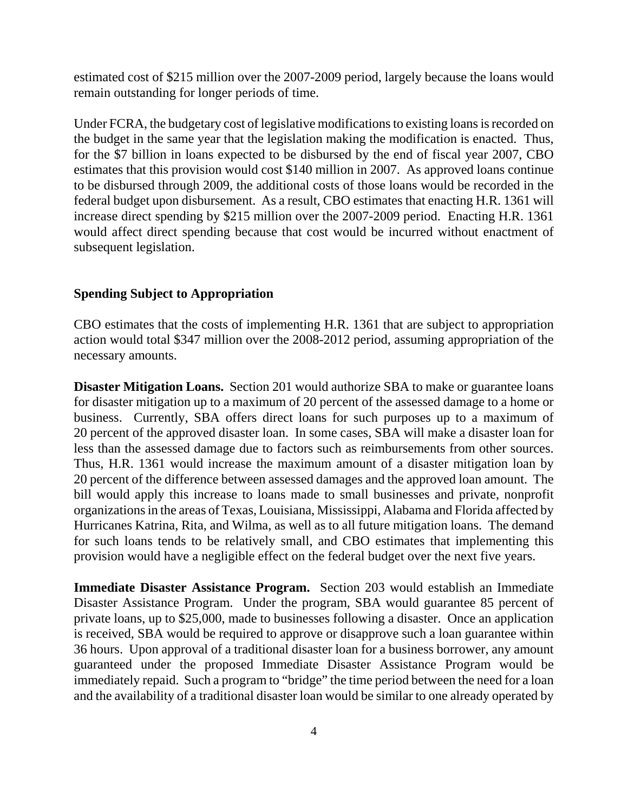estimated cost of \$215 million over the 2007-2009 period, largely because the loans would remain outstanding for longer periods of time.

Under FCRA, the budgetary cost of legislative modifications to existing loans is recorded on the budget in the same year that the legislation making the modification is enacted. Thus, for the \$7 billion in loans expected to be disbursed by the end of fiscal year 2007, CBO estimates that this provision would cost \$140 million in 2007. As approved loans continue to be disbursed through 2009, the additional costs of those loans would be recorded in the federal budget upon disbursement. As a result, CBO estimates that enacting H.R. 1361 will increase direct spending by \$215 million over the 2007-2009 period. Enacting H.R. 1361 would affect direct spending because that cost would be incurred without enactment of subsequent legislation.

#### **Spending Subject to Appropriation**

CBO estimates that the costs of implementing H.R. 1361 that are subject to appropriation action would total \$347 million over the 2008-2012 period, assuming appropriation of the necessary amounts.

**Disaster Mitigation Loans.** Section 201 would authorize SBA to make or guarantee loans for disaster mitigation up to a maximum of 20 percent of the assessed damage to a home or business. Currently, SBA offers direct loans for such purposes up to a maximum of 20 percent of the approved disaster loan. In some cases, SBA will make a disaster loan for less than the assessed damage due to factors such as reimbursements from other sources. Thus, H.R. 1361 would increase the maximum amount of a disaster mitigation loan by 20 percent of the difference between assessed damages and the approved loan amount. The bill would apply this increase to loans made to small businesses and private, nonprofit organizations in the areas of Texas, Louisiana, Mississippi, Alabama and Florida affected by Hurricanes Katrina, Rita, and Wilma, as well as to all future mitigation loans. The demand for such loans tends to be relatively small, and CBO estimates that implementing this provision would have a negligible effect on the federal budget over the next five years.

**Immediate Disaster Assistance Program.** Section 203 would establish an Immediate Disaster Assistance Program. Under the program, SBA would guarantee 85 percent of private loans, up to \$25,000, made to businesses following a disaster. Once an application is received, SBA would be required to approve or disapprove such a loan guarantee within 36 hours. Upon approval of a traditional disaster loan for a business borrower, any amount guaranteed under the proposed Immediate Disaster Assistance Program would be immediately repaid. Such a program to "bridge" the time period between the need for a loan and the availability of a traditional disaster loan would be similar to one already operated by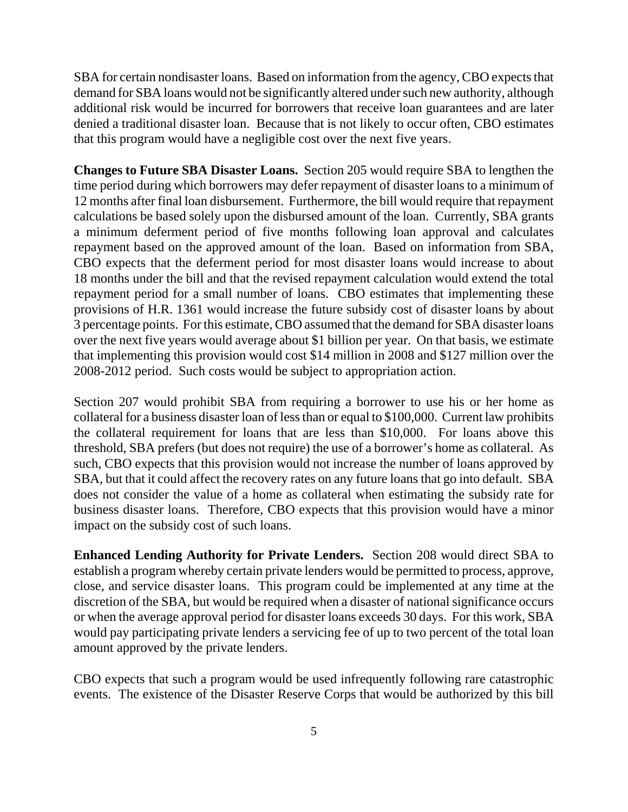SBA for certain nondisaster loans. Based on information from the agency, CBO expects that demand for SBA loans would not be significantly altered under such new authority, although additional risk would be incurred for borrowers that receive loan guarantees and are later denied a traditional disaster loan. Because that is not likely to occur often, CBO estimates that this program would have a negligible cost over the next five years.

**Changes to Future SBA Disaster Loans.** Section 205 would require SBA to lengthen the time period during which borrowers may defer repayment of disaster loans to a minimum of 12 months after final loan disbursement. Furthermore, the bill would require that repayment calculations be based solely upon the disbursed amount of the loan. Currently, SBA grants a minimum deferment period of five months following loan approval and calculates repayment based on the approved amount of the loan. Based on information from SBA, CBO expects that the deferment period for most disaster loans would increase to about 18 months under the bill and that the revised repayment calculation would extend the total repayment period for a small number of loans. CBO estimates that implementing these provisions of H.R. 1361 would increase the future subsidy cost of disaster loans by about 3 percentage points. For this estimate, CBO assumed that the demand for SBA disaster loans over the next five years would average about \$1 billion per year. On that basis, we estimate that implementing this provision would cost \$14 million in 2008 and \$127 million over the 2008-2012 period. Such costs would be subject to appropriation action.

Section 207 would prohibit SBA from requiring a borrower to use his or her home as collateral for a business disaster loan of less than or equal to \$100,000. Current law prohibits the collateral requirement for loans that are less than \$10,000. For loans above this threshold, SBA prefers (but does not require) the use of a borrower's home as collateral. As such, CBO expects that this provision would not increase the number of loans approved by SBA, but that it could affect the recovery rates on any future loans that go into default. SBA does not consider the value of a home as collateral when estimating the subsidy rate for business disaster loans. Therefore, CBO expects that this provision would have a minor impact on the subsidy cost of such loans.

**Enhanced Lending Authority for Private Lenders.** Section 208 would direct SBA to establish a program whereby certain private lenders would be permitted to process, approve, close, and service disaster loans. This program could be implemented at any time at the discretion of the SBA, but would be required when a disaster of national significance occurs or when the average approval period for disaster loans exceeds 30 days. For this work, SBA would pay participating private lenders a servicing fee of up to two percent of the total loan amount approved by the private lenders.

CBO expects that such a program would be used infrequently following rare catastrophic events. The existence of the Disaster Reserve Corps that would be authorized by this bill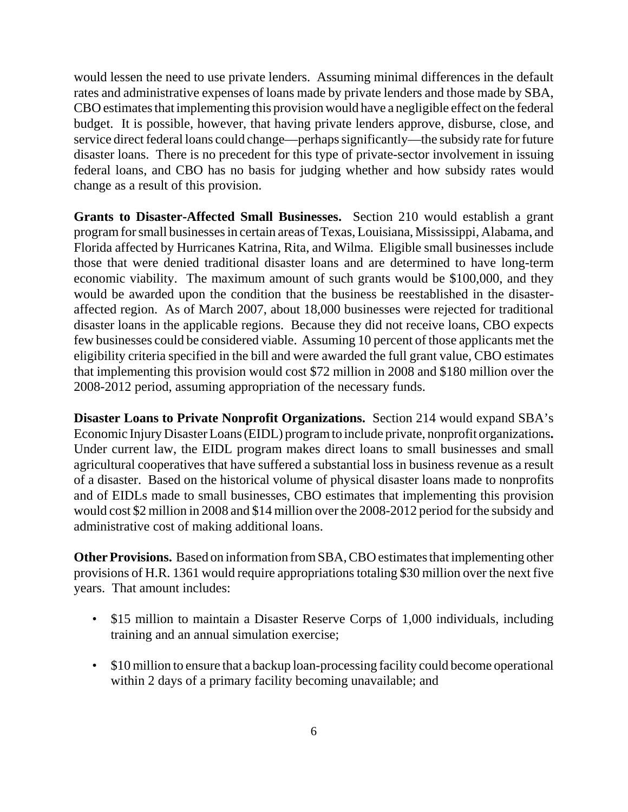would lessen the need to use private lenders. Assuming minimal differences in the default rates and administrative expenses of loans made by private lenders and those made by SBA, CBO estimates that implementing this provision would have a negligible effect on the federal budget. It is possible, however, that having private lenders approve, disburse, close, and service direct federal loans could change—perhaps significantly—the subsidy rate for future disaster loans. There is no precedent for this type of private-sector involvement in issuing federal loans, and CBO has no basis for judging whether and how subsidy rates would change as a result of this provision.

**Grants to Disaster-Affected Small Businesses.** Section 210 would establish a grant program for small businesses in certain areas of Texas, Louisiana, Mississippi, Alabama, and Florida affected by Hurricanes Katrina, Rita, and Wilma. Eligible small businesses include those that were denied traditional disaster loans and are determined to have long-term economic viability. The maximum amount of such grants would be \$100,000, and they would be awarded upon the condition that the business be reestablished in the disasteraffected region. As of March 2007, about 18,000 businesses were rejected for traditional disaster loans in the applicable regions. Because they did not receive loans, CBO expects few businesses could be considered viable. Assuming 10 percent of those applicants met the eligibility criteria specified in the bill and were awarded the full grant value, CBO estimates that implementing this provision would cost \$72 million in 2008 and \$180 million over the 2008-2012 period, assuming appropriation of the necessary funds.

**Disaster Loans to Private Nonprofit Organizations.** Section 214 would expand SBA's Economic Injury Disaster Loans (EIDL) program to include private, nonprofit organizations**.** Under current law, the EIDL program makes direct loans to small businesses and small agricultural cooperatives that have suffered a substantial loss in business revenue as a result of a disaster. Based on the historical volume of physical disaster loans made to nonprofits and of EIDLs made to small businesses, CBO estimates that implementing this provision would cost \$2 million in 2008 and \$14 million over the 2008-2012 period for the subsidy and administrative cost of making additional loans.

**Other Provisions.** Based on information from SBA, CBO estimates that implementing other provisions of H.R. 1361 would require appropriations totaling \$30 million over the next five years. That amount includes:

- \$15 million to maintain a Disaster Reserve Corps of 1,000 individuals, including training and an annual simulation exercise;
- \$10 million to ensure that a backup loan-processing facility could become operational within 2 days of a primary facility becoming unavailable; and